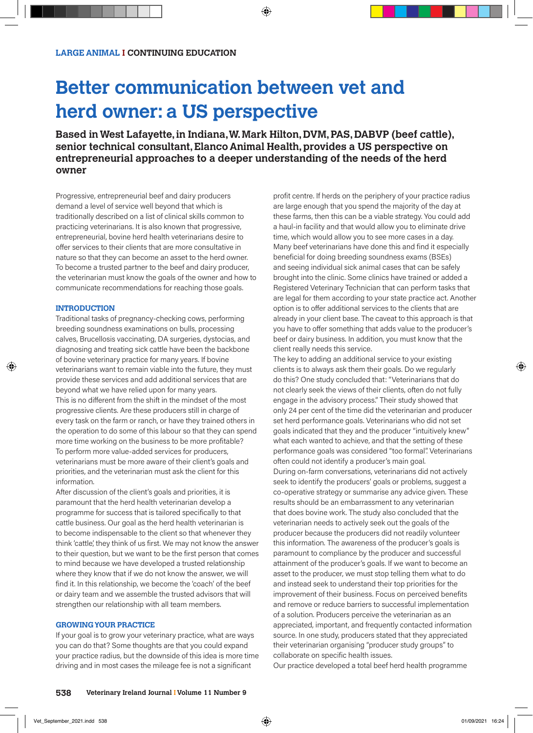## **Better communication between vet and herd owner: a US perspective**

**Based in West Lafayette, in Indiana, W. Mark Hilton, DVM, PAS, DABVP (beef cattle), senior technical consultant, Elanco Animal Health, provides a US perspective on entrepreneurial approaches to a deeper understanding of the needs of the herd owner**

Progressive, entrepreneurial beef and dairy producers demand a level of service well beyond that which is traditionally described on a list of clinical skills common to practicing veterinarians. It is also known that progressive, entrepreneurial, bovine herd health veterinarians desire to offer services to their clients that are more consultative in nature so that they can become an asset to the herd owner. To become a trusted partner to the beef and dairy producer, the veterinarian must know the goals of the owner and how to communicate recommendations for reaching those goals.

## **INTRODUCTION**

Traditional tasks of pregnancy-checking cows, performing breeding soundness examinations on bulls, processing calves, Brucellosis vaccinating, DA surgeries, dystocias, and diagnosing and treating sick cattle have been the backbone of bovine veterinary practice for many years. If bovine veterinarians want to remain viable into the future, they must provide these services and add additional services that are beyond what we have relied upon for many years. This is no different from the shift in the mindset of the most progressive clients. Are these producers still in charge of every task on the farm or ranch, or have they trained others in the operation to do some of this labour so that they can spend more time working on the business to be more profitable? To perform more value-added services for producers, veterinarians must be more aware of their client's goals and priorities, and the veterinarian must ask the client for this information.

After discussion of the client's goals and priorities, it is paramount that the herd health veterinarian develop a programme for success that is tailored specifically to that cattle business. Our goal as the herd health veterinarian is to become indispensable to the client so that whenever they think 'cattle', they think of us first. We may not know the answer to their question, but we want to be the first person that comes to mind because we have developed a trusted relationship where they know that if we do not know the answer, we will find it. In this relationship, we become the 'coach' of the beef or dairy team and we assemble the trusted advisors that will strengthen our relationship with all team members.

## **GROWING YOUR PRACTICE**

If your goal is to grow your veterinary practice, what are ways you can do that? Some thoughts are that you could expand your practice radius, but the downside of this idea is more time driving and in most cases the mileage fee is not a significant

profit centre. If herds on the periphery of your practice radius are large enough that you spend the majority of the day at these farms, then this can be a viable strategy. You could add a haul-in facility and that would allow you to eliminate drive time, which would allow you to see more cases in a day. Many beef veterinarians have done this and find it especially beneficial for doing breeding soundness exams (BSEs) and seeing individual sick animal cases that can be safely brought into the clinic. Some clinics have trained or added a Registered Veterinary Technician that can perform tasks that are legal for them according to your state practice act. Another option is to offer additional services to the clients that are already in your client base. The caveat to this approach is that you have to offer something that adds value to the producer's beef or dairy business. In addition, you must know that the client really needs this service.

The key to adding an additional service to your existing clients is to always ask them their goals. Do we regularly do this? One study concluded that: "Veterinarians that do not clearly seek the views of their clients, often do not fully engage in the advisory process." Their study showed that only 24 per cent of the time did the veterinarian and producer set herd performance goals. Veterinarians who did not set goals indicated that they and the producer "intuitively knew" what each wanted to achieve, and that the setting of these performance goals was considered "too formal". Veterinarians often could not identify a producer's main goal. During on-farm conversations, veterinarians did not actively seek to identify the producers' goals or problems, suggest a co-operative strategy or summarise any advice given. These results should be an embarrassment to any veterinarian that does bovine work. The study also concluded that the veterinarian needs to actively seek out the goals of the producer because the producers did not readily volunteer this information. The awareness of the producer's goals is paramount to compliance by the producer and successful attainment of the producer's goals. If we want to become an asset to the producer, we must stop telling them what to do and instead seek to understand their top priorities for the improvement of their business. Focus on perceived benefits and remove or reduce barriers to successful implementation of a solution. Producers perceive the veterinarian as an appreciated, important, and frequently contacted information source. In one study, producers stated that they appreciated their veterinarian organising "producer study groups" to collaborate on specific health issues.

Our practice developed a total beef herd health programme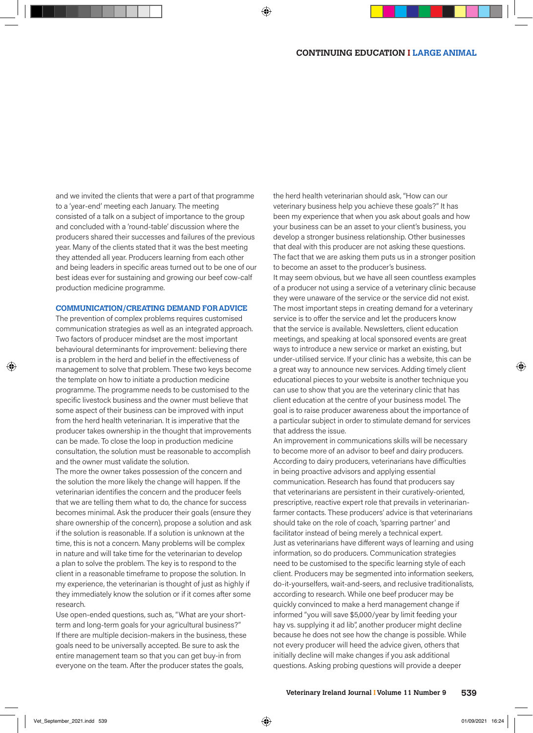and we invited the clients that were a part of that programme to a 'year-end' meeting each January. The meeting consisted of a talk on a subject of importance to the group and concluded with a 'round-table' discussion where the producers shared their successes and failures of the previous year. Many of the clients stated that it was the best meeting they attended all year. Producers learning from each other and being leaders in specific areas turned out to be one of our best ideas ever for sustaining and growing our beef cow-calf production medicine programme.

#### **COMMUNICATION/CREATING DEMAND FOR ADVICE**

The prevention of complex problems requires customised communication strategies as well as an integrated approach. Two factors of producer mindset are the most important behavioural determinants for improvement: believing there is a problem in the herd and belief in the effectiveness of management to solve that problem. These two keys become the template on how to initiate a production medicine programme. The programme needs to be customised to the specific livestock business and the owner must believe that some aspect of their business can be improved with input from the herd health veterinarian. It is imperative that the producer takes ownership in the thought that improvements can be made. To close the loop in production medicine consultation, the solution must be reasonable to accomplish and the owner must validate the solution.

The more the owner takes possession of the concern and the solution the more likely the change will happen. If the veterinarian identifies the concern and the producer feels that we are telling them what to do, the chance for success becomes minimal. Ask the producer their goals (ensure they share ownership of the concern), propose a solution and ask if the solution is reasonable. If a solution is unknown at the time, this is not a concern. Many problems will be complex in nature and will take time for the veterinarian to develop a plan to solve the problem. The key is to respond to the client in a reasonable timeframe to propose the solution. In my experience, the veterinarian is thought of just as highly if they immediately know the solution or if it comes after some research.

Use open-ended questions, such as, "What are your shortterm and long-term goals for your agricultural business?" If there are multiple decision-makers in the business, these goals need to be universally accepted. Be sure to ask the entire management team so that you can get buy-in from everyone on the team. After the producer states the goals,

the herd health veterinarian should ask, "How can our veterinary business help you achieve these goals?" It has been my experience that when you ask about goals and how your business can be an asset to your client's business, you develop a stronger business relationship. Other businesses that deal with this producer are not asking these questions. The fact that we are asking them puts us in a stronger position to become an asset to the producer's business. It may seem obvious, but we have all seen countless examples of a producer not using a service of a veterinary clinic because they were unaware of the service or the service did not exist. The most important steps in creating demand for a veterinary service is to offer the service and let the producers know that the service is available. Newsletters, client education meetings, and speaking at local sponsored events are great ways to introduce a new service or market an existing, but under-utilised service. If your clinic has a website, this can be a great way to announce new services. Adding timely client educational pieces to your website is another technique you can use to show that you are the veterinary clinic that has client education at the centre of your business model. The goal is to raise producer awareness about the importance of a particular subject in order to stimulate demand for services that address the issue.

An improvement in communications skills will be necessary to become more of an advisor to beef and dairy producers. According to dairy producers, veterinarians have difficulties in being proactive advisors and applying essential communication. Research has found that producers say that veterinarians are persistent in their curatively-oriented, prescriptive, reactive expert role that prevails in veterinarianfarmer contacts. These producers' advice is that veterinarians should take on the role of coach, 'sparring partner' and facilitator instead of being merely a technical expert. Just as veterinarians have different ways of learning and using information, so do producers. Communication strategies need to be customised to the specific learning style of each client. Producers may be segmented into information seekers, do-it-yourselfers, wait-and-seers, and reclusive traditionalists, according to research. While one beef producer may be quickly convinced to make a herd management change if informed "you will save \$5,000/year by limit feeding your hay vs. supplying it ad lib", another producer might decline because he does not see how the change is possible. While not every producer will heed the advice given, others that initially decline will make changes if you ask additional questions. Asking probing questions will provide a deeper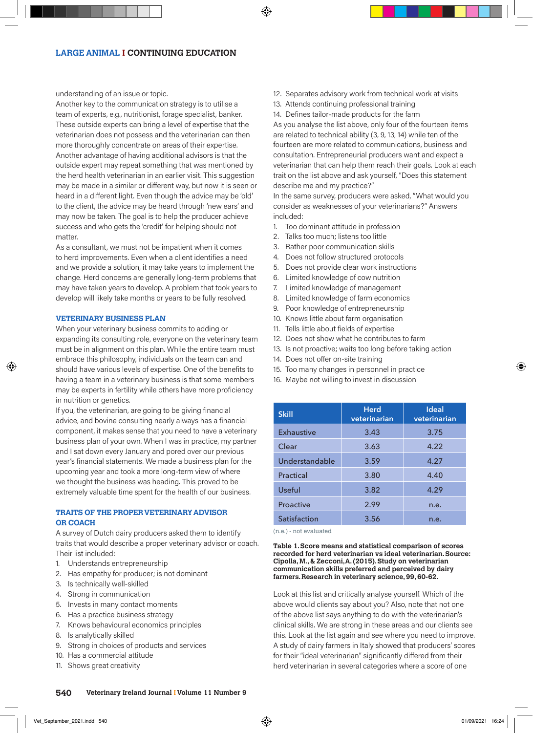understanding of an issue or topic.

Another key to the communication strategy is to utilise a team of experts, e.g., nutritionist, forage specialist, banker. These outside experts can bring a level of expertise that the veterinarian does not possess and the veterinarian can then more thoroughly concentrate on areas of their expertise. Another advantage of having additional advisors is that the outside expert may repeat something that was mentioned by the herd health veterinarian in an earlier visit. This suggestion may be made in a similar or different way, but now it is seen or heard in a different light. Even though the advice may be 'old' to the client, the advice may be heard through 'new ears' and may now be taken. The goal is to help the producer achieve success and who gets the 'credit' for helping should not matter.

As a consultant, we must not be impatient when it comes to herd improvements. Even when a client identifies a need and we provide a solution, it may take years to implement the change. Herd concerns are generally long-term problems that may have taken years to develop. A problem that took years to develop will likely take months or years to be fully resolved.

#### **VETERINARY BUSINESS PLAN**

When your veterinary business commits to adding or expanding its consulting role, everyone on the veterinary team must be in alignment on this plan. While the entire team must embrace this philosophy, individuals on the team can and should have various levels of expertise. One of the benefits to having a team in a veterinary business is that some members may be experts in fertility while others have more proficiency in nutrition or genetics.

If you, the veterinarian, are going to be giving financial advice, and bovine consulting nearly always has a financial component, it makes sense that you need to have a veterinary business plan of your own. When I was in practice, my partner and I sat down every January and pored over our previous year's financial statements. We made a business plan for the upcoming year and took a more long-term view of where we thought the business was heading. This proved to be extremely valuable time spent for the health of our business.

## **TRAITS OF THE PROPER VETERINARY ADVISOR OR COACH**

A survey of Dutch dairy producers asked them to identify traits that would describe a proper veterinary advisor or coach. Their list included:

- 1. Understands entrepreneurship
- 2. Has empathy for producer; is not dominant
- 3. Is technically well-skilled
- 4. Strong in communication
- 5. Invests in many contact moments
- 6. Has a practice business strategy
- 7. Knows behavioural economics principles
- 8. Is analytically skilled
- 9. Strong in choices of products and services
- 10. Has a commercial attitude
- 11. Shows great creativity
- 12. Separates advisory work from technical work at visits
- 13. Attends continuing professional training
- 14. Defines tailor-made products for the farm

As you analyse the list above, only four of the fourteen items are related to technical ability (3, 9, 13, 14) while ten of the fourteen are more related to communications, business and consultation. Entrepreneurial producers want and expect a veterinarian that can help them reach their goals. Look at each trait on the list above and ask yourself, "Does this statement describe me and my practice?"

In the same survey, producers were asked, "What would you consider as weaknesses of your veterinarians?" Answers included:

- 1. Too dominant attitude in profession
- 2. Talks too much; listens too little
- 3. Rather poor communication skills
- 4. Does not follow structured protocols
- 5. Does not provide clear work instructions
- 6. Limited knowledge of cow nutrition
- 7. Limited knowledge of management
- 8. Limited knowledge of farm economics
- 9. Poor knowledge of entrepreneurship
- 10. Knows little about farm organisation
- 11. Tells little about fields of expertise
- 12. Does not show what he contributes to farm
- 13. Is not proactive; waits too long before taking action
- 14. Does not offer on-site training
- 15. Too many changes in personnel in practice
- 16. Maybe not willing to invest in discussion

| <b>Skill</b>      | <b>Herd</b><br>veterinarian | <b>Ideal</b><br>veterinarian |
|-------------------|-----------------------------|------------------------------|
| <b>Exhaustive</b> | 3.43                        | 3.75                         |
| Clear             | 3.63                        | 4.22                         |
| Understandable    | 3.59                        | 4.27                         |
| Practical         | 3.80                        | 4.40                         |
| Useful            | 3.82                        | 4.29                         |
| Proactive         | 2.99                        | n.e.                         |
| Satisfaction      | 3.56                        | n.e.                         |

(n.e.) - not evaluated

**Table 1. Score means and statistical comparison of scores recorded for herd veterinarian vs ideal veterinarian. Source: Cipolla, M., & Zecconi, A. (2015). Study on veterinarian communication skills preferred and perceived by dairy farmers. Research in veterinary science, 99, 60-62.**

Look at this list and critically analyse yourself. Which of the above would clients say about you? Also, note that not one of the above list says anything to do with the veterinarian's clinical skills. We are strong in these areas and our clients see this. Look at the list again and see where you need to improve. A study of dairy farmers in Italy showed that producers' scores for their "ideal veterinarian" significantly differed from their herd veterinarian in several categories where a score of one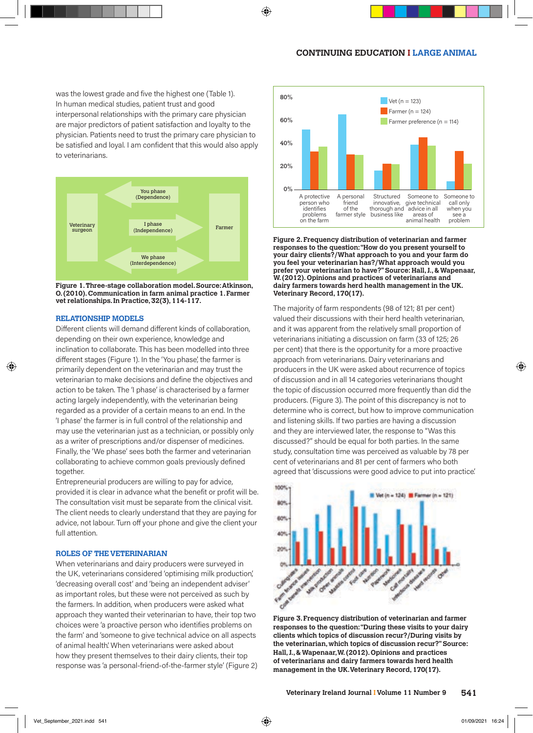was the lowest grade and five the highest one (Table 1). In human medical studies, patient trust and good interpersonal relationships with the primary care physician are major predictors of patient satisfaction and loyalty to the physician. Patients need to trust the primary care physician to be satisfied and loyal. I am confident that this would also apply to veterinarians.



**Figure 1. Three-stage collaboration model. Source: Atkinson, O. (2010). Communication in farm animal practice 1. Farmer vet relationships. In Practice, 32(3), 114-117.**

### **RELATIONSHIP MODELS**

Different clients will demand different kinds of collaboration. depending on their own experience, knowledge and inclination to collaborate. This has been modelled into three different stages (Figure 1). In the 'You phase', the farmer is primarily dependent on the veterinarian and may trust the veterinarian to make decisions and define the objectives and action to be taken. The 'I phase' is characterised by a farmer acting largely independently, with the veterinarian being regarded as a provider of a certain means to an end. In the 'I phase' the farmer is in full control of the relationship and may use the veterinarian just as a technician, or possibly only as a writer of prescriptions and/or dispenser of medicines. Finally, the 'We phase' sees both the farmer and veterinarian collaborating to achieve common goals previously defined together.

Entrepreneurial producers are willing to pay for advice, provided it is clear in advance what the benefit or profit will be. The consultation visit must be separate from the clinical visit. The client needs to clearly understand that they are paying for advice, not labour. Turn off your phone and give the client your full attention.

#### **ROLES OF THE VETERINARIAN**

When veterinarians and dairy producers were surveyed in the UK, veterinarians considered 'optimising milk production', 'decreasing overall cost' and 'being an independent adviser' as important roles, but these were not perceived as such by the farmers. In addition, when producers were asked what approach they wanted their veterinarian to have, their top two choices were 'a proactive person who identifies problems on the farm' and 'someone to give technical advice on all aspects of animal health'. When veterinarians were asked about how they present themselves to their dairy clients, their top response was 'a personal-friend-of-the-farmer style' (Figure 2)



**Figure 2. Frequency distribution of veterinarian and farmer responses to the question: "How do you present yourself to your dairy clients?/What approach to you and your farm do you feel your veterinarian has?/What approach would you prefer your veterinarian to have?" Source: Hall, J., & Wapenaar, W. (2012). Opinions and practices of veterinarians and dairy farmers towards herd health management in the UK. Veterinary Record, 170(17).**

The majority of farm respondents (98 of 121; 81 per cent) valued their discussions with their herd health veterinarian, and it was apparent from the relatively small proportion of veterinarians initiating a discussion on farm (33 of 125; 26 per cent) that there is the opportunity for a more proactive approach from veterinarians. Dairy veterinarians and producers in the UK were asked about recurrence of topics of discussion and in all 14 categories veterinarians thought the topic of discussion occurred more frequently than did the producers. (Figure 3). The point of this discrepancy is not to determine who is correct, but how to improve communication and listening skills. If two parties are having a discussion and they are interviewed later, the response to "Was this discussed?" should be equal for both parties. In the same study, consultation time was perceived as valuable by 78 per cent of veterinarians and 81 per cent of farmers who both agreed that 'discussions were good advice to put into practice'.



**Figure 3. Frequency distribution of veterinarian and farmer responses to the question: "During these visits to your dairy clients which topics of discussion recur?/During visits by the veterinarian, which topics of discussion recur?" Source: Hall, J., & Wapenaar, W. (2012). Opinions and practices of veterinarians and dairy farmers towards herd health management in the UK. Veterinary Record, 170(17).**